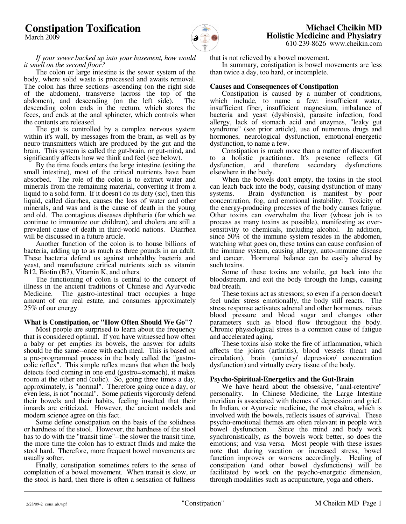# **Constipation Toxification**

March 2009



 **Michael Cheikin MD Holistic Medicine and Physiatry** 610-239-8626 www.cheikin.com

 *If your sewer backed up into your basement, how would it smell on the second floor?*

 The colon or large intestine is the sewer system of the body, where solid waste is processed and awaits removal. The colon has three sections--ascending (on the right side of the abdomen), transverse (across the top of the abdomen), and descending (on the left side). The descending colon ends in the rectum, which stores the feces, and ends at the anal sphincter, which controls when the contents are released.

 The gut is controlled by a complex nervous system within it's wall, by messages from the brain, as well as by neuro-transmitters which are produced by the gut and the brain. This system is called the gut-brain, or gut-mind, and significantly affects how we think and feel (see below).

 By the time foods enters the large intestine (exiting the small intestine), most of the critical nutrients have been absorbed. The role of the colon is to extract water and minerals from the remaining material, converting it from a liquid to a solid form. If it doesn't do its duty (sic), then this liquid, called diarrhea, causes the loss of water and other minerals, and was and is the cause of death in the young and old. The contagious diseases diphtheria (for which we continue to immunize our children), and cholera are still a prevalent cause of death in third-world nations. Diarrhea will be discussed in a future article.

 Another function of the colon is to house billions of bacteria, adding up to as much as three pounds in an adult. These bacteria defend us against unhealthy bacteria and yeast, and manufacture critical nutrients such as vitamin B12, Biotin (B7), Vitamin K, and others.

 The functioning of colon is central to the concept of illness in the ancient traditions of Chinese and Ayurvedic Medicine. The gastro-intestinal tract occupies a huge amount of our real estate, and consumes approximately 25% of our energy.

## **What is Constipation, or "How Often Should We Go"?**

 Most people are surprised to learn about the frequency that is considered optimal. If you have witnessed how often a baby or pet empties its bowels, the answer for adults should be the same--once with each meal. This is based on a pre-programmed process in the body called the "gastrocolic reflex". This simple reflex means that when the body detects food coming in one end (gastro=stomach), it makes room at the other end (colic). So, going three times a day, approximately, is "normal". Therefore going once a day, or even less, is not "normal". Some patients vigorously defend their bowels and their habits, feeling insulted that their innards are criticized. However, the ancient models and modern science agree on this fact.

 Some define constipation on the basis of the solidness or hardness of the stool. However, the hardness of the stool has to do with the "transit time"--the slower the transit time, the more time the colon has to extract fluids and make the stool hard. Therefore, more frequent bowel movements are usually softer.

 Finally, constipation sometimes refers to the sense of completion of a bowel movement. When transit is slow, or the stool is hard, then there is often a sensation of fullness

that is not relieved by a bowel movement.

 In summary, constipation is bowel movements are less than twice a day, too hard, or incomplete.

#### **Causes and Consequences of Constipation**

 Constipation is caused by a number of conditions, which include, to name a few: insufficient water, insufficient fiber, insufficient magnesium, imbalance of bacteria and yeast (dysbiosis), parasite infection, food allergy, lack of stomach acid and enzymes, "leaky gut syndrome" (see prior article), use of numerous drugs and hormones, neurological dysfunction, emotional-energetic dysfunction, to name a few.

 Constipation is much more than a matter of discomfort to a holistic practitioner. It's presence reflects GI dysfunction, and therefore secondary dysfunctions elsewhere in the body.

 When the bowels don't empty, the toxins in the stool can leach back into the body, causing dysfunction of many systems. Brain dysfunction is manifest by poor concentration, fog, and emotional instability. Toxicity of the energy-producing processes of the body causes fatigue. Other toxins can overwhelm the liver (whose job is to process as many toxins as possible), manifesting as oversensitivity to chemicals, including alcohol. In addition, since 50% of the immune system resides in the abdomen, watching what goes on, these toxins can cause confusion of the immune system, causing allergy, auto-immune disease and cancer. Hormonal balance can be easily altered by such toxins.

 Some of these toxins are volatile, get back into the bloodstream, and exit the body through the lungs, causing bad breath.

 These toxins act as stressors; so even if a person doesn't feel under stress emotionally, the body still reacts. The stress response activates adrenal and other hormones, raises blood pressure and blood sugar and changes other parameters such as blood flow throughout the body. Chronic physiological stress is a common cause of fatigue and accelerated aging.

 These toxins also stoke the fire of inflammation, which affects the joints (arthritis), blood vessels (heart and circulation), brain (anxiety/ depression/ concentration dysfunction) and virtually every tissue of the body.

#### **Psycho-Spiritual-Energetics and the Gut-Brain**

 We have heard about the obsessive, "anal-retentive" personality. In Chinese Medicine, the Large Intestine meridian is associated with themes of depression and grief. In Indian, or Ayurveic medicine, the root chakra, which is involved with the bowels, reflects issues of survival. These psycho-emotional themes are often relevant in people with bowel dysfunction. Since the mind and body work synchronistically, as the bowels work better, so does the emotions; and visa versa. Most people with these issues note that during vacation or increased stress, bowel function improves or worsens accordingly. Healing of constipation (and other bowel dysfunctions) will be facilitated by work on the psycho-energetic dimension, through modalities such as acupuncture, yoga and others.